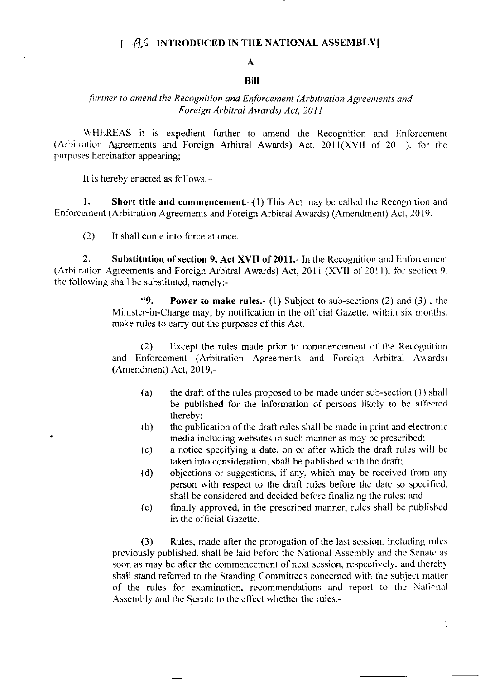#### $\left[\begin{array}{cc} \hat{A}\hat{S} \end{array}\right]$  INTRODUCED IN THE NATIONAL ASSEMBLY

# $\mathbf{A}$

## **Bill**

### further to amend the Recognition and Enforcement (Arbitration Agreements and Foreign Arbitral Awards) Act. 2011

WHEREAS it is expedient further to amend the Recognition and Enforcement (Arbitration Agreements and Foreign Arbitral Awards) Act, 2011(XVII of 2011), for the purposes hereinafter appearing:

It is hereby enacted as follows:--

1. **Short title and commencement**.  $(1)$  This Act may be called the Recognition and Enforcement (Arbitration Agreements and Foreign Arbitral Awards) (Amendment) Act, 2019.

It shall come into force at once.  $(2)$ 

 $\overline{2}$ . Substitution of section 9, Act XVII of 2011. In the Recognition and Enforcement (Arbitration Agreements and Foreign Arbitral Awards) Act, 2011 (XVII of 2011), for section 9. the following shall be substituted, namely:-

> $\omega$ **Power to make rules.**- (1) Subject to sub-sections (2) and (3), the Minister-in-Charge may, by notification in the official Gazette, within six months. make rules to carry out the purposes of this Act.

> Except the rules made prior to commencement of the Recognition  $(2)$ and Enforcement (Arbitration Agreements and Foreign Arbitral Awards) (Amendment) Act, 2019,-

- $(a)$ the draft of the rules proposed to be made under sub-section (1) shall be published for the information of persons likely to be affected thereby:
- $(b)$ the publication of the draft rules shall be made in print and electronic media including websites in such manner as may be prescribed:
- a notice specifying a date, on or after which the draft rules will be  $(c)$ taken into consideration, shall be published with the draft;
- objections or suggestions, if any, which may be received from any  $(d)$ person with respect to the draft rules before the date so specified. shall be considered and decided before finalizing the rules; and
- finally approved, in the prescribed manner, rules shall be published  $(e)$ in the official Gazette.

Rules, made after the prorogation of the last session, including rules  $(3)$ previously published, shall be laid before the National Assembly and the Senate as soon as may be after the commencement of next session, respectively, and thereby shall stand referred to the Standing Committees concerned with the subject matter of the rules for examination, recommendations and report to the National Assembly and the Senate to the effect whether the rules.-

 $\mathbf{l}$